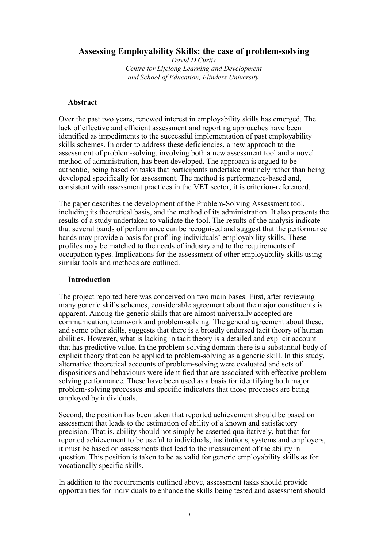# **Assessing Employability Skills: the case of problem-solving**

*David D Curtis Centre for Lifelong Learning and Development and School of Education, Flinders University*

#### **Abstract**

Over the past two years, renewed interest in employability skills has emerged. The lack of effective and efficient assessment and reporting approaches have been identified as impediments to the successful implementation of past employability skills schemes. In order to address these deficiencies, a new approach to the assessment of problem-solving, involving both a new assessment tool and a novel method of administration, has been developed. The approach is argued to be authentic, being based on tasks that participants undertake routinely rather than being developed specifically for assessment. The method is performance-based and, consistent with assessment practices in the VET sector, it is criterion-referenced.

The paper describes the development of the Problem-Solving Assessment tool, including its theoretical basis, and the method of its administration. It also presents the results of a study undertaken to validate the tool. The results of the analysis indicate that several bands of performance can be recognised and suggest that the performance bands may provide a basis for profiling individuals' employability skills. These profiles may be matched to the needs of industry and to the requirements of occupation types. Implications for the assessment of other employability skills using similar tools and methods are outlined.

### **Introduction**

The project reported here was conceived on two main bases. First, after reviewing many generic skills schemes, considerable agreement about the major constituents is apparent. Among the generic skills that are almost universally accepted are communication, teamwork and problem-solving. The general agreement about these, and some other skills, suggests that there is a broadly endorsed tacit theory of human abilities. However, what is lacking in tacit theory is a detailed and explicit account that has predictive value. In the problem-solving domain there is a substantial body of explicit theory that can be applied to problem-solving as a generic skill. In this study, alternative theoretical accounts of problem-solving were evaluated and sets of dispositions and behaviours were identified that are associated with effective problemsolving performance. These have been used as a basis for identifying both major problem-solving processes and specific indicators that those processes are being employed by individuals.

Second, the position has been taken that reported achievement should be based on assessment that leads to the estimation of ability of a known and satisfactory precision. That is, ability should not simply be asserted qualitatively, but that for reported achievement to be useful to individuals, institutions, systems and employers, it must be based on assessments that lead to the measurement of the ability in question. This position is taken to be as valid for generic employability skills as for vocationally specific skills.

In addition to the requirements outlined above, assessment tasks should provide opportunities for individuals to enhance the skills being tested and assessment should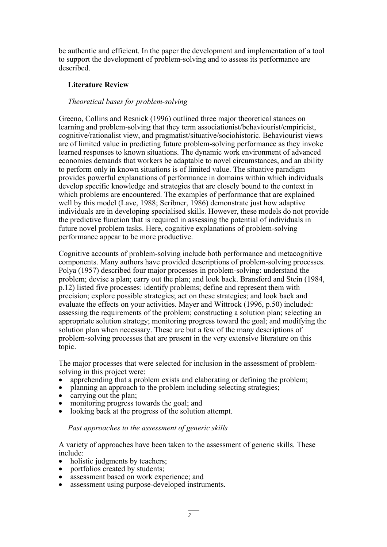be authentic and efficient. In the paper the development and implementation of a tool to support the development of problem-solving and to assess its performance are described.

#### **Literature Review**

#### *Theoretical bases for problem-solving*

Greeno, Collins and Resnick (1996) outlined three major theoretical stances on learning and problem-solving that they term associationist/behaviourist/empiricist, cognitive/rationalist view, and pragmatist/situative/sociohistoric. Behaviourist views are of limited value in predicting future problem-solving performance as they invoke learned responses to known situations. The dynamic work environment of advanced economies demands that workers be adaptable to novel circumstances, and an ability to perform only in known situations is of limited value. The situative paradigm provides powerful explanations of performance in domains within which individuals develop specific knowledge and strategies that are closely bound to the context in which problems are encountered. The examples of performance that are explained well by this model (Lave, 1988; Scribner, 1986) demonstrate just how adaptive individuals are in developing specialised skills. However, these models do not provide the predictive function that is required in assessing the potential of individuals in future novel problem tasks. Here, cognitive explanations of problem-solving performance appear to be more productive.

Cognitive accounts of problem-solving include both performance and metacognitive components. Many authors have provided descriptions of problem-solving processes. Polya (1957) described four major processes in problem-solving: understand the problem; devise a plan; carry out the plan; and look back. Bransford and Stein (1984, p.12) listed five processes: identify problems; define and represent them with precision; explore possible strategies; act on these strategies; and look back and evaluate the effects on your activities. Mayer and Wittrock (1996, p.50) included: assessing the requirements of the problem; constructing a solution plan; selecting an appropriate solution strategy; monitoring progress toward the goal; and modifying the solution plan when necessary. These are but a few of the many descriptions of problem-solving processes that are present in the very extensive literature on this topic.

The major processes that were selected for inclusion in the assessment of problemsolving in this project were:

- apprehending that a problem exists and elaborating or defining the problem;<br>• planning an approach to the problem including selecting strategies;
- planning an approach to the problem including selecting strategies;
- carrying out the plan:
- monitoring progress towards the goal; and<br>• looking back at the progress of the solution
- looking back at the progress of the solution attempt.

#### *Past approaches to the assessment of generic skills*

A variety of approaches have been taken to the assessment of generic skills. These include:

- holistic judgments by teachers;
- portfolios created by students;
- assessment based on work experience; and
- assessment using purpose-developed instruments.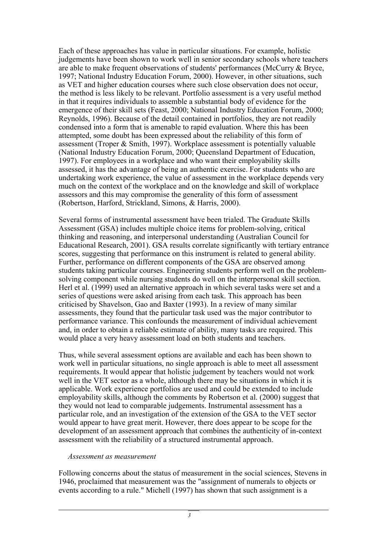Each of these approaches has value in particular situations. For example, holistic judgements have been shown to work well in senior secondary schools where teachers are able to make frequent observations of students' performances (McCurry & Bryce, 1997; National Industry Education Forum, 2000). However, in other situations, such as VET and higher education courses where such close observation does not occur, the method is less likely to be relevant. Portfolio assessment is a very useful method in that it requires individuals to assemble a substantial body of evidence for the emergence of their skill sets (Feast, 2000; National Industry Education Forum, 2000; Reynolds, 1996). Because of the detail contained in portfolios, they are not readily condensed into a form that is amenable to rapid evaluation. Where this has been attempted, some doubt has been expressed about the reliability of this form of assessment (Troper & Smith, 1997). Workplace assessment is potentially valuable (National Industry Education Forum, 2000; Queensland Department of Education, 1997). For employees in a workplace and who want their employability skills assessed, it has the advantage of being an authentic exercise. For students who are undertaking work experience, the value of assessment in the workplace depends very much on the context of the workplace and on the knowledge and skill of workplace assessors and this may compromise the generality of this form of assessment (Robertson, Harford, Strickland, Simons, & Harris, 2000).

Several forms of instrumental assessment have been trialed. The Graduate Skills Assessment (GSA) includes multiple choice items for problem-solving, critical thinking and reasoning, and interpersonal understanding (Australian Council for Educational Research, 2001). GSA results correlate significantly with tertiary entrance scores, suggesting that performance on this instrument is related to general ability. Further, performance on different components of the GSA are observed among students taking particular courses. Engineering students perform well on the problemsolving component while nursing students do well on the interpersonal skill section. Herl et al. (1999) used an alternative approach in which several tasks were set and a series of questions were asked arising from each task. This approach has been criticised by Shavelson, Gao and Baxter (1993). In a review of many similar assessments, they found that the particular task used was the major contributor to performance variance. This confounds the measurement of individual achievement and, in order to obtain a reliable estimate of ability, many tasks are required. This would place a very heavy assessment load on both students and teachers.

Thus, while several assessment options are available and each has been shown to work well in particular situations, no single approach is able to meet all assessment requirements. It would appear that holistic judgement by teachers would not work well in the VET sector as a whole, although there may be situations in which it is applicable. Work experience portfolios are used and could be extended to include employability skills, although the comments by Robertson et al. (2000) suggest that they would not lead to comparable judgements. Instrumental assessment has a particular role, and an investigation of the extension of the GSA to the VET sector would appear to have great merit. However, there does appear to be scope for the development of an assessment approach that combines the authenticity of in-context assessment with the reliability of a structured instrumental approach.

#### *Assessment as measurement*

Following concerns about the status of measurement in the social sciences, Stevens in 1946, proclaimed that measurement was the "assignment of numerals to objects or events according to a rule." Michell (1997) has shown that such assignment is a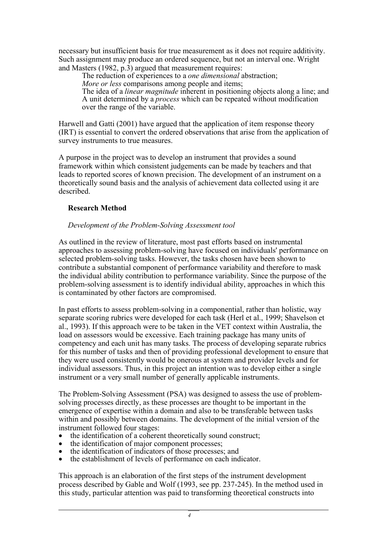necessary but insufficient basis for true measurement as it does not require additivity. Such assignment may produce an ordered sequence, but not an interval one. Wright and Masters (1982, p.3) argued that measurement requires:

The reduction of experiences to a *one dimensional* abstraction; *More or less* comparisons among people and items; The idea of a *linear magnitude* inherent in positioning objects along a line; and A unit determined by a *process* which can be repeated without modification over the range of the variable.

Harwell and Gatti (2001) have argued that the application of item response theory (IRT) is essential to convert the ordered observations that arise from the application of survey instruments to true measures.

A purpose in the project was to develop an instrument that provides a sound framework within which consistent judgements can be made by teachers and that leads to reported scores of known precision. The development of an instrument on a theoretically sound basis and the analysis of achievement data collected using it are described.

### **Research Method**

## *Development of the Problem-Solving Assessment tool*

As outlined in the review of literature, most past efforts based on instrumental approaches to assessing problem-solving have focused on individuals' performance on selected problem-solving tasks. However, the tasks chosen have been shown to contribute a substantial component of performance variability and therefore to mask the individual ability contribution to performance variability. Since the purpose of the problem-solving assessment is to identify individual ability, approaches in which this is contaminated by other factors are compromised.

In past efforts to assess problem-solving in a componential, rather than holistic, way separate scoring rubrics were developed for each task (Herl et al., 1999; Shavelson et al., 1993). If this approach were to be taken in the VET context within Australia, the load on assessors would be excessive. Each training package has many units of competency and each unit has many tasks. The process of developing separate rubrics for this number of tasks and then of providing professional development to ensure that they were used consistently would be onerous at system and provider levels and for individual assessors. Thus, in this project an intention was to develop either a single instrument or a very small number of generally applicable instruments.

The Problem-Solving Assessment (PSA) was designed to assess the use of problemsolving processes directly, as these processes are thought to be important in the emergence of expertise within a domain and also to be transferable between tasks within and possibly between domains. The development of the initial version of the instrument followed four stages:

- the identification of a coherent theoretically sound construct;
- the identification of major component processes;<br>• the identification of indicators of those processes
- the identification of indicators of those processes; and
- the establishment of levels of performance on each indicator.

This approach is an elaboration of the first steps of the instrument development process described by Gable and Wolf (1993, see pp. 237-245). In the method used in this study, particular attention was paid to transforming theoretical constructs into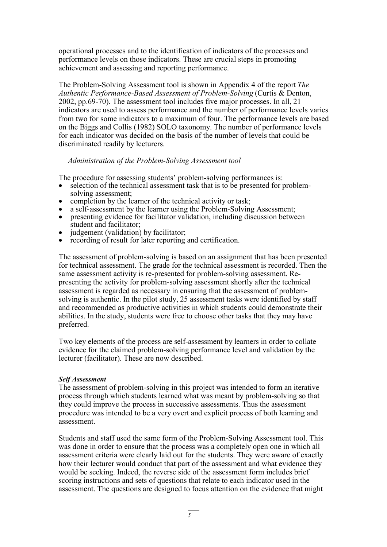operational processes and to the identification of indicators of the processes and performance levels on those indicators. These are crucial steps in promoting achievement and assessing and reporting performance.

The Problem-Solving Assessment tool is shown in Appendix 4 of the report *The Authentic Performance-Based Assessment of Problem-Solving* (Curtis & Denton, 2002, pp.69-70). The assessment tool includes five major processes. In all, 21 indicators are used to assess performance and the number of performance levels varies from two for some indicators to a maximum of four. The performance levels are based on the Biggs and Collis (1982) SOLO taxonomy. The number of performance levels for each indicator was decided on the basis of the number of levels that could be discriminated readily by lecturers.

#### *Administration of the Problem-Solving Assessment tool*

The procedure for assessing students' problem-solving performances is:

- selection of the technical assessment task that is to be presented for problemsolving assessment;
- completion by the learner of the technical activity or task:
- a self-assessment by the learner using the Problem-Solving Assessment;
- presenting evidence for facilitator validation, including discussion between student and facilitator;
- $\bullet$  iudgement (validation) by facilitator;
- recording of result for later reporting and certification.

The assessment of problem-solving is based on an assignment that has been presented for technical assessment. The grade for the technical assessment is recorded. Then the same assessment activity is re-presented for problem-solving assessment. Representing the activity for problem-solving assessment shortly after the technical assessment is regarded as necessary in ensuring that the assessment of problemsolving is authentic. In the pilot study, 25 assessment tasks were identified by staff and recommended as productive activities in which students could demonstrate their abilities. In the study, students were free to choose other tasks that they may have preferred.

Two key elements of the process are self-assessment by learners in order to collate evidence for the claimed problem-solving performance level and validation by the lecturer (facilitator). These are now described.

#### *Self Assessment*

The assessment of problem-solving in this project was intended to form an iterative process through which students learned what was meant by problem-solving so that they could improve the process in successive assessments. Thus the assessment procedure was intended to be a very overt and explicit process of both learning and assessment.

Students and staff used the same form of the Problem-Solving Assessment tool. This was done in order to ensure that the process was a completely open one in which all assessment criteria were clearly laid out for the students. They were aware of exactly how their lecturer would conduct that part of the assessment and what evidence they would be seeking. Indeed, the reverse side of the assessment form includes brief scoring instructions and sets of questions that relate to each indicator used in the assessment. The questions are designed to focus attention on the evidence that might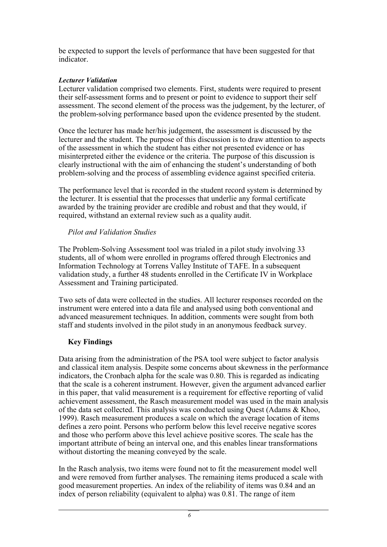be expected to support the levels of performance that have been suggested for that indicator.

### *Lecturer Validation*

Lecturer validation comprised two elements. First, students were required to present their self-assessment forms and to present or point to evidence to support their self assessment. The second element of the process was the judgement, by the lecturer, of the problem-solving performance based upon the evidence presented by the student.

Once the lecturer has made her/his judgement, the assessment is discussed by the lecturer and the student. The purpose of this discussion is to draw attention to aspects of the assessment in which the student has either not presented evidence or has misinterpreted either the evidence or the criteria. The purpose of this discussion is clearly instructional with the aim of enhancing the student's understanding of both problem-solving and the process of assembling evidence against specified criteria.

The performance level that is recorded in the student record system is determined by the lecturer. It is essential that the processes that underlie any formal certificate awarded by the training provider are credible and robust and that they would, if required, withstand an external review such as a quality audit.

# *Pilot and Validation Studies*

The Problem-Solving Assessment tool was trialed in a pilot study involving 33 students, all of whom were enrolled in programs offered through Electronics and Information Technology at Torrens Valley Institute of TAFE. In a subsequent validation study, a further 48 students enrolled in the Certificate IV in Workplace Assessment and Training participated.

Two sets of data were collected in the studies. All lecturer responses recorded on the instrument were entered into a data file and analysed using both conventional and advanced measurement techniques. In addition, comments were sought from both staff and students involved in the pilot study in an anonymous feedback survey.

# **Key Findings**

Data arising from the administration of the PSA tool were subject to factor analysis and classical item analysis. Despite some concerns about skewness in the performance indicators, the Cronbach alpha for the scale was 0.80. This is regarded as indicating that the scale is a coherent instrument. However, given the argument advanced earlier in this paper, that valid measurement is a requirement for effective reporting of valid achievement assessment, the Rasch measurement model was used in the main analysis of the data set collected. This analysis was conducted using Quest (Adams & Khoo, 1999). Rasch measurement produces a scale on which the average location of items defines a zero point. Persons who perform below this level receive negative scores and those who perform above this level achieve positive scores. The scale has the important attribute of being an interval one, and this enables linear transformations without distorting the meaning conveyed by the scale.

In the Rasch analysis, two items were found not to fit the measurement model well and were removed from further analyses. The remaining items produced a scale with good measurement properties. An index of the reliability of items was 0.84 and an index of person reliability (equivalent to alpha) was 0.81. The range of item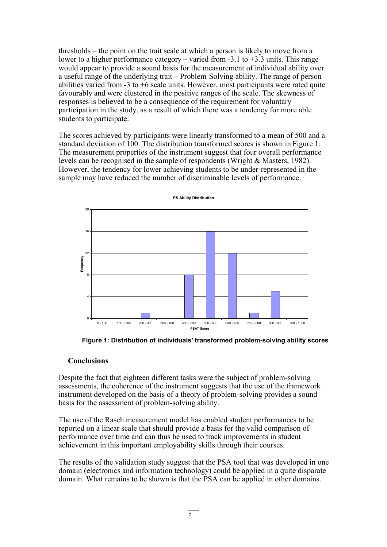thresholds – the point on the trait scale at which a person is likely to move from a lower to a higher performance category – varied from -3.1 to +3.3 units. This range would appear to provide a sound basis for the measurement of individual ability over a useful range of the underlying trait – Problem-Solving ability. The range of person abilities varied from  $-3$  to  $+6$  scale units. However, most participants were rated quite favourably and were clustered in the positive ranges of the scale. The skewness of responses is believed to be a consequence of the requirement for voluntary participation in the study, as a result of which there was a tendency for more able students to participate.

The scores achieved by participants were linearly transformed to a mean of 500 and a standard deviation of 100. The distribution transformed scores is shown in Figure 1. The measurement properties of the instrument suggest that four overall performance levels can be recognised in the sample of respondents (Wright & Masters, 1982). However, the tendency for lower achieving students to be under-represented in the sample may have reduced the number of discriminable levels of performance.



**Figure 1: Distribution of individuals' transformed problem-solving ability scores**

### **Conclusions**

Despite the fact that eighteen different tasks were the subject of problem-solving assessments, the coherence of the instrument suggests that the use of the framework instrument developed on the basis of a theory of problem-solving provides a sound basis for the assessment of problem-solving ability.

The use of the Rasch measurement model has enabled student performances to be reported on a linear scale that should provide a basis for the valid comparison of performance over time and can thus be used to track improvements in student achievement in this important employability skills through their courses.

The results of the validation study suggest that the PSA tool that was developed in one domain (electronics and information technology) could be applied in a quite disparate domain. What remains to be shown is that the PSA can be applied in other domains.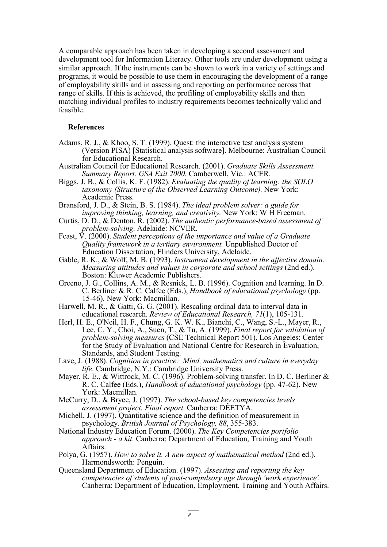A comparable approach has been taken in developing a second assessment and development tool for Information Literacy. Other tools are under development using a similar approach. If the instruments can be shown to work in a variety of settings and programs, it would be possible to use them in encouraging the development of a range of employability skills and in assessing and reporting on performance across that range of skills. If this is achieved, the profiling of employability skills and then matching individual profiles to industry requirements becomes technically valid and feasible.

#### **References**

- Adams, R. J., & Khoo, S. T. (1999). Quest: the interactive test analysis system (Version PISA) [Statistical analysis software]. Melbourne: Australian Council for Educational Research.
- Australian Council for Educational Research. (2001). *Graduate Skills Assessment. Summary Report. GSA Exit 2000*. Camberwell, Vic.: ACER.
- Biggs, J. B., & Collis, K. F. (1982). *Evaluating the quality of learning: the SOLO taxonomy (Structure of the Observed Learning Outcome)*. New York: Academic Press.
- Bransford, J. D., & Stein, B. S. (1984). *The ideal problem solver: a guide for improving thinking, learning, and creativity*. New York: W H Freeman.
- Curtis, D. D., & Denton, R. (2002). *The authentic performance-based assessment of problem-solving*. Adelaide: NCVER.
- Feast, V. (2000). *Student perceptions of the importance and value of a Graduate Quality framework in a tertiary environment.* Unpublished Doctor of Education Dissertation, Flinders University, Adelaide.
- Gable, R. K., & Wolf, M. B. (1993). *Instrument development in the affective domain. Measuring attitudes and values in corporate and school settings* (2nd ed.). Boston: Kluwer Academic Publishers.
- Greeno, J. G., Collins, A. M., & Resnick, L. B. (1996). Cognition and learning. In D. C. Berliner & R. C. Calfee (Eds.), *Handbook of educational psychology* (pp. 15-46). New York: Macmillan.
- Harwell, M. R., & Gatti, G. G. (2001). Rescaling ordinal data to interval data in educational research. *Review of Educational Research, 71*(1), 105-131.
- Herl, H. E., O'Neil, H. F., Chung, G. K. W. K., Bianchi, C., Wang, S.-L., Mayer, R., Lee, C. Y., Choi, A., Suen, T., & Tu, A. (1999). *Final report for validation of problem-solving measures* (CSE Technical Report 501). Los Angeles: Center for the Study of Evaluation and National Centre for Research in Evaluation, Standards, and Student Testing.
- Lave, J. (1988). *Cognition in practice: Mind, mathematics and culture in everyday life*. Cambridge, N.Y.: Cambridge University Press.
- Mayer, R. E., & Wittrock, M. C. (1996). Problem-solving transfer. In D. C. Berliner & R. C. Calfee (Eds.), *Handbook of educational psychology* (pp. 47-62). New York: Macmillan.
- McCurry, D., & Bryce, J. (1997). *The school-based key competencies levels assessment project. Final report*. Canberra: DEETYA.
- Michell, J. (1997). Quantitative science and the definition of measurement in psychology. *British Journal of Psychology, 88*, 355-383.
- National Industry Education Forum. (2000). *The Key Competencies portfolio approach - a kit*. Canberra: Department of Education, Training and Youth Affairs.
- Polya, G. (1957). *How to solve it. A new aspect of mathematical method* (2nd ed.). Harmondsworth: Penguin.
- Queensland Department of Education. (1997). *Assessing and reporting the key competencies of students of post-compulsory age through 'work experience'*. Canberra: Department of Education, Employment, Training and Youth Affairs.